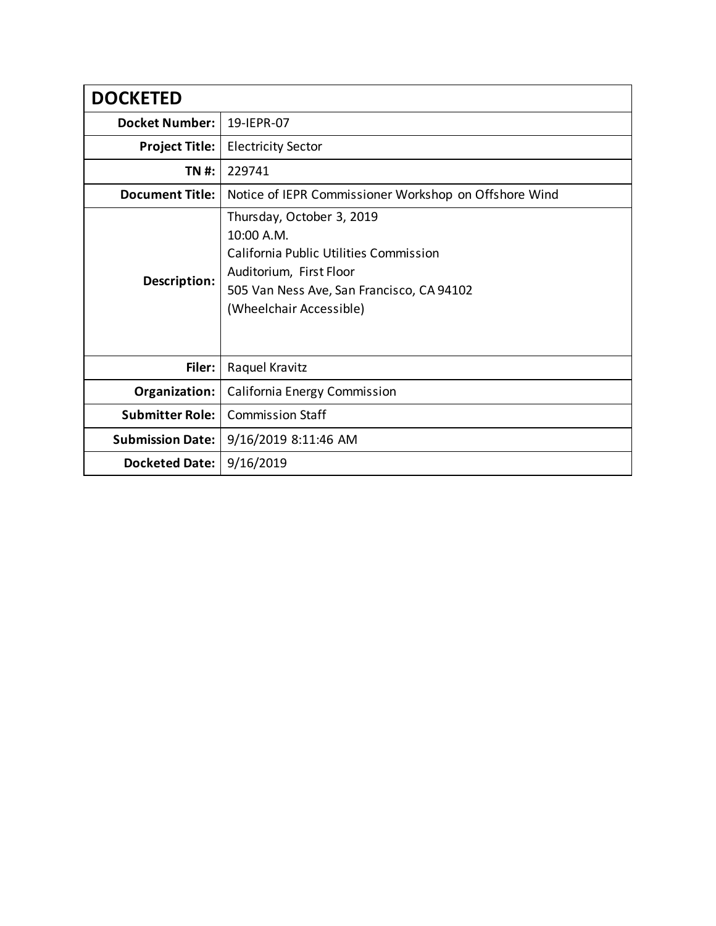| <b>DOCKETED</b>         |                                                                                                                                                                                             |
|-------------------------|---------------------------------------------------------------------------------------------------------------------------------------------------------------------------------------------|
| <b>Docket Number:</b>   | 19-IEPR-07                                                                                                                                                                                  |
| <b>Project Title:</b>   | <b>Electricity Sector</b>                                                                                                                                                                   |
| TN #:                   | 229741                                                                                                                                                                                      |
| <b>Document Title:</b>  | Notice of IEPR Commissioner Workshop on Offshore Wind                                                                                                                                       |
| Description:            | Thursday, October 3, 2019<br>10:00 A.M.<br><b>California Public Utilities Commission</b><br>Auditorium, First Floor<br>505 Van Ness Ave, San Francisco, CA 94102<br>(Wheelchair Accessible) |
| Filer:                  | Raquel Kravitz                                                                                                                                                                              |
| Organization:           | California Energy Commission                                                                                                                                                                |
| <b>Submitter Role:</b>  | <b>Commission Staff</b>                                                                                                                                                                     |
| <b>Submission Date:</b> | 9/16/2019 8:11:46 AM                                                                                                                                                                        |
| Docketed Date:          | 9/16/2019                                                                                                                                                                                   |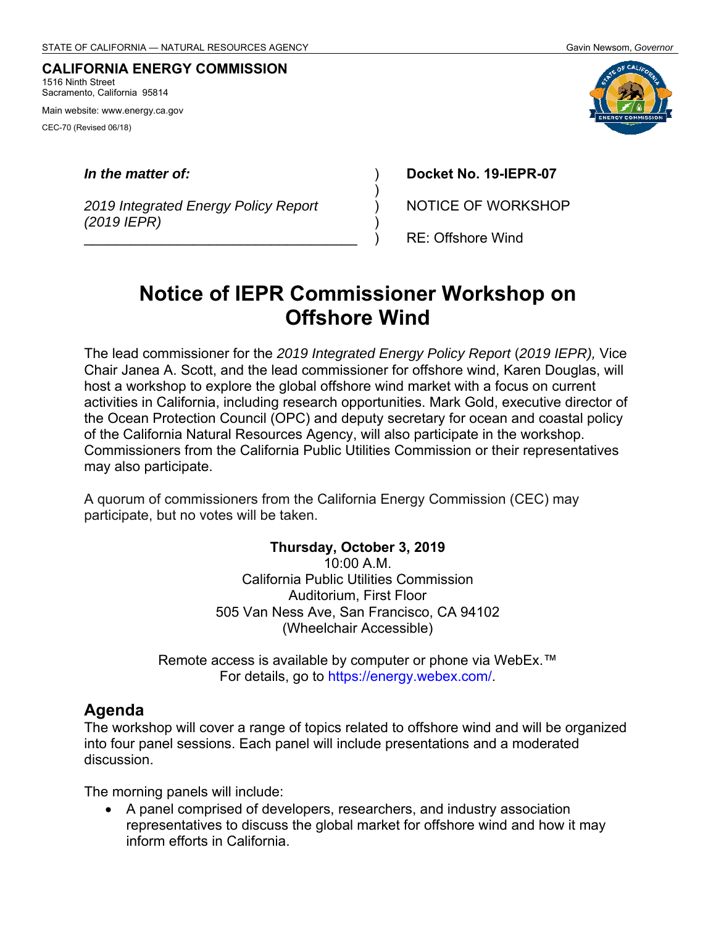#### **CALIFORNIA ENERGY COMMISSION** 1516 Ninth Street

Sacramento, California 95814

Main website: www.energy.ca.gov

CEC-70 (Revised 06/18)

#### *In the matter of:*

*2019 Integrated Energy Policy Report (2019 IEPR)* 

\_\_\_\_\_\_\_\_\_\_\_\_\_\_\_\_\_\_\_\_\_\_\_\_\_\_\_\_\_\_\_\_\_\_\_

**Docket No. 19-IEPR-07** 

NOTICE OF WORKSHOP

RE: Offshore Wind

# **Notice of IEPR Commissioner Workshop on Offshore Wind**

) ) ) ) )

The lead commissioner for the *2019 Integrated Energy Policy Report* (*2019 IEPR),* Vice Chair Janea A. Scott, and the lead commissioner for offshore wind, Karen Douglas, will host a workshop to explore the global offshore wind market with a focus on current activities in California, including research opportunities. Mark Gold, executive director of the Ocean Protection Council (OPC) and deputy secretary for ocean and coastal policy of the California Natural Resources Agency, will also participate in the workshop. Commissioners from the California Public Utilities Commission or their representatives may also participate.

A quorum of commissioners from the California Energy Commission (CEC) may participate, but no votes will be taken.

#### **Thursday, October 3, 2019**

10:00 A.M. California Public Utilities Commission Auditorium, First Floor 505 Van Ness Ave, San Francisco, CA 94102 (Wheelchair Accessible)

Remote access is available by computer or phone via WebEx.™ For details, go to https://energy.webex.com/.

### **Agenda**

The workshop will cover a range of topics related to offshore wind and will be organized into four panel sessions. Each panel will include presentations and a moderated discussion.

The morning panels will include:

 A panel comprised of developers, researchers, and industry association representatives to discuss the global market for offshore wind and how it may inform efforts in California.

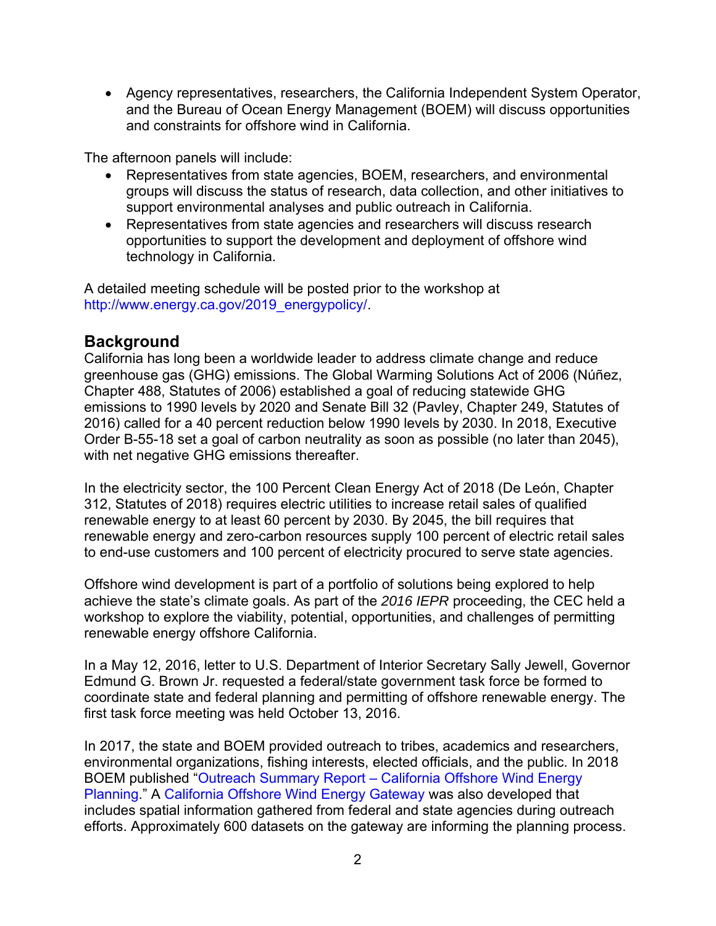Agency representatives, researchers, the California Independent System Operator, and the Bureau of Ocean Energy Management (BOEM) will discuss opportunities and constraints for offshore wind in California.

The afternoon panels will include:

- Representatives from state agencies, BOEM, researchers, and environmental groups will discuss the status of research, data collection, and other initiatives to support environmental analyses and public outreach in California.
- Representatives from state agencies and researchers will discuss research opportunities to support the development and deployment of offshore wind technology in California.

A detailed meeting schedule will be posted prior to the workshop at http://www.energy.ca.gov/2019\_energypolicy/.

## **Background**

California has long been a worldwide leader to address climate change and reduce greenhouse gas (GHG) emissions. The Global Warming Solutions Act of 2006 (Núñez, Chapter 488, Statutes of 2006) established a goal of reducing statewide GHG emissions to 1990 levels by 2020 and Senate Bill 32 (Pavley, Chapter 249, Statutes of 2016) called for a 40 percent reduction below 1990 levels by 2030. In 2018, Executive Order B-55-18 set a goal of carbon neutrality as soon as possible (no later than 2045), with net negative GHG emissions thereafter.

In the electricity sector, the 100 Percent Clean Energy Act of 2018 (De León, Chapter 312, Statutes of 2018) requires electric utilities to increase retail sales of qualified renewable energy to at least 60 percent by 2030. By 2045, the bill requires that renewable energy and zero-carbon resources supply 100 percent of electric retail sales to end-use customers and 100 percent of electricity procured to serve state agencies.

Offshore wind development is part of a portfolio of solutions being explored to help achieve the state's climate goals. As part of the *2016 IEPR* proceeding, the CEC held a workshop to explore the viability, potential, opportunities, and challenges of permitting renewable energy offshore California.

In a May 12, 2016, letter to U.S. Department of Interior Secretary Sally Jewell, Governor Edmund G. Brown Jr. requested a federal/state government task force be formed to coordinate state and federal planning and permitting of offshore renewable energy. The first task force meeting was held October 13, 2016.

In 2017, the state and BOEM provided outreach to tribes, academics and researchers, environmental organizations, fishing interests, elected officials, and the public. In 2018 BOEM published "Outreach Summary Report – California Offshore Wind Energy Planning." A California Offshore Wind Energy Gateway was also developed that includes spatial information gathered from federal and state agencies during outreach efforts. Approximately 600 datasets on the gateway are informing the planning process.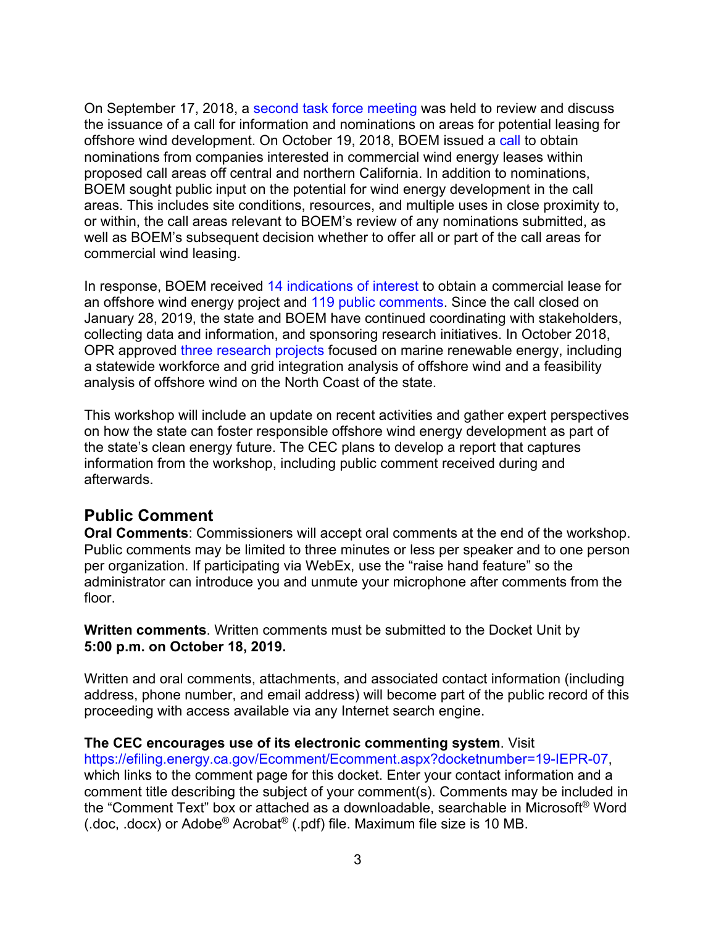On September 17, 2018, a second task force meeting was held to review and discuss the issuance of a call for information and nominations on areas for potential leasing for offshore wind development. On October 19, 2018, BOEM issued a call to obtain nominations from companies interested in commercial wind energy leases within proposed call areas off central and northern California. In addition to nominations, BOEM sought public input on the potential for wind energy development in the call areas. This includes site conditions, resources, and multiple uses in close proximity to, or within, the call areas relevant to BOEM's review of any nominations submitted, as well as BOEM's subsequent decision whether to offer all or part of the call areas for commercial wind leasing.

In response, BOEM received 14 indications of interest to obtain a commercial lease for an offshore wind energy project and 119 public comments. Since the call closed on January 28, 2019, the state and BOEM have continued coordinating with stakeholders, collecting data and information, and sponsoring research initiatives. In October 2018, OPR approved three research projects focused on marine renewable energy, including a statewide workforce and grid integration analysis of offshore wind and a feasibility analysis of offshore wind on the North Coast of the state.

This workshop will include an update on recent activities and gather expert perspectives on how the state can foster responsible offshore wind energy development as part of the state's clean energy future. The CEC plans to develop a report that captures information from the workshop, including public comment received during and afterwards.

### **Public Comment**

**Oral Comments**: Commissioners will accept oral comments at the end of the workshop. Public comments may be limited to three minutes or less per speaker and to one person per organization. If participating via WebEx, use the "raise hand feature" so the administrator can introduce you and unmute your microphone after comments from the floor.

**Written comments**. Written comments must be submitted to the Docket Unit by **5:00 p.m. on October 18, 2019.**

Written and oral comments, attachments, and associated contact information (including address, phone number, and email address) will become part of the public record of this proceeding with access available via any Internet search engine.

#### **The CEC encourages use of its electronic commenting system**. Visit

https://efiling.energy.ca.gov/Ecomment/Ecomment.aspx?docketnumber=19-IEPR-07, which links to the comment page for this docket. Enter your contact information and a comment title describing the subject of your comment(s). Comments may be included in the "Comment Text" box or attached as a downloadable, searchable in Microsoft® Word (.doc, .docx) or Adobe® Acrobat® (.pdf) file. Maximum file size is 10 MB.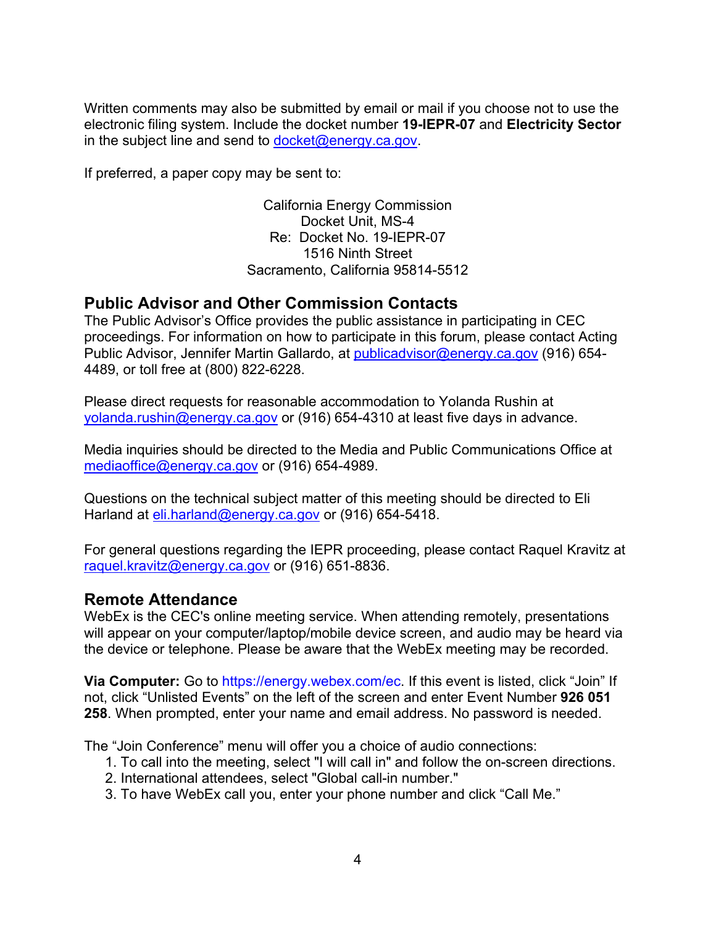Written comments may also be submitted by email or mail if you choose not to use the electronic filing system. Include the docket number **19-IEPR-07** and **Electricity Sector** in the subject line and send to  $docket@energy.ca.gov$ .

If preferred, a paper copy may be sent to:

California Energy Commission Docket Unit, MS-4 Re: Docket No. 19-IEPR-07 1516 Ninth Street Sacramento, California 95814-5512

## **Public Advisor and Other Commission Contacts**

The Public Advisor's Office provides the public assistance in participating in CEC proceedings. For information on how to participate in this forum, please contact Acting Public Advisor, Jennifer Martin Gallardo, at publicadvisor@energy.ca.gov (916) 654- 4489, or toll free at (800) 822-6228.

Please direct requests for reasonable accommodation to Yolanda Rushin at yolanda.rushin@energy.ca.gov or (916) 654-4310 at least five days in advance.

Media inquiries should be directed to the Media and Public Communications Office at mediaoffice@energy.ca.gov or (916) 654-4989.

Questions on the technical subject matter of this meeting should be directed to Eli Harland at eli.harland@energy.ca.gov or (916) 654-5418.

For general questions regarding the IEPR proceeding, please contact Raquel Kravitz at raquel.kravitz@energy.ca.gov or (916) 651-8836.

### **Remote Attendance**

WebEx is the CEC's online meeting service. When attending remotely, presentations will appear on your computer/laptop/mobile device screen, and audio may be heard via the device or telephone. Please be aware that the WebEx meeting may be recorded.

**Via Computer:** Go to https://energy.webex.com/ec. If this event is listed, click "Join" If not, click "Unlisted Events" on the left of the screen and enter Event Number **926 051 258**. When prompted, enter your name and email address. No password is needed.

The "Join Conference" menu will offer you a choice of audio connections:

- 1. To call into the meeting, select "I will call in" and follow the on-screen directions.
- 2. International attendees, select "Global call-in number."
- 3. To have WebEx call you, enter your phone number and click "Call Me."